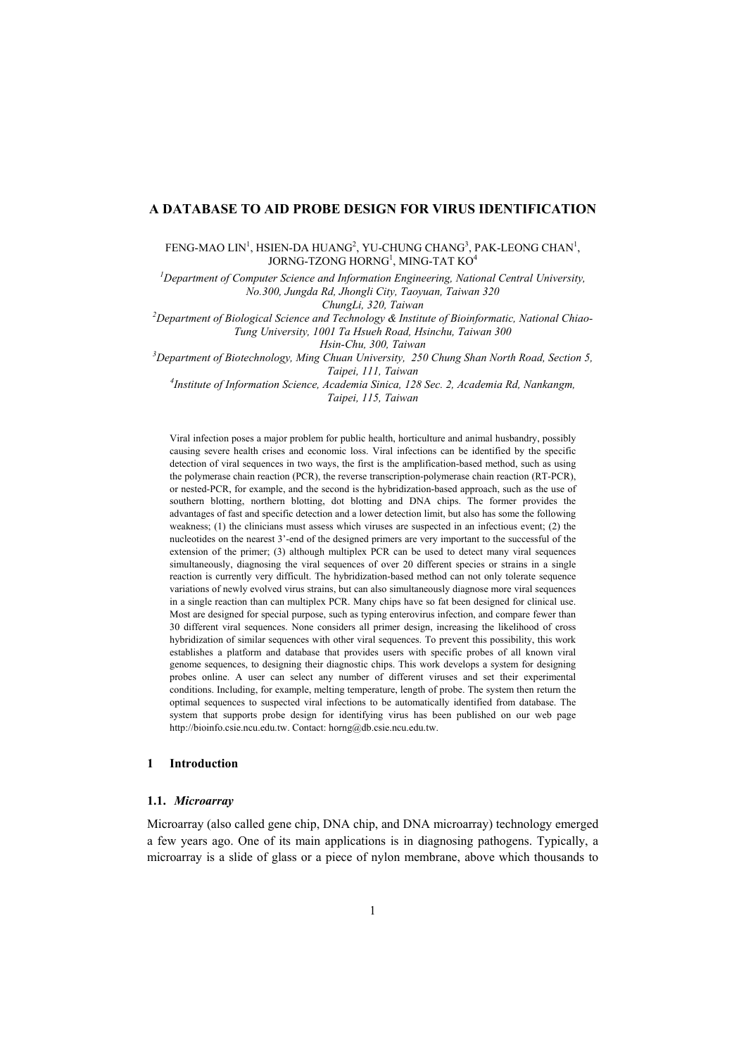# **A DATABASE TO AID PROBE DESIGN FOR VIRUS IDENTIFICATION**

FENG-MAO LIN<sup>1</sup>, HSIEN-DA HUANG<sup>2</sup>, YU-CHUNG CHANG<sup>3</sup>, PAK-LEONG CHAN<sup>1</sup>, JORNG-TZONG  $\rm HORNG^1$ , MING-TAT KO $^4$ 

*1 Department of Computer Science and Information Engineering, National Central University, No.300, Jungda Rd, Jhongli City, Taoyuan, Taiwan 320* 

*ChungLi, 320, Taiwan 2 Department of Biological Science and Technology & Institute of Bioinformatic, National Chiao-Tung University, 1001 Ta Hsueh Road, Hsinchu, Taiwan 300* 

*Hsin-Chu, 300, Taiwan 3 Department of Biotechnology, Ming Chuan University, 250 Chung Shan North Road, Section 5,* 

*Taipei, 111, Taiwan 4 Institute of Information Science, Academia Sinica, 128 Sec. 2, Academia Rd, Nankangm, Taipei, 115, Taiwan* 

Viral infection poses a major problem for public health, horticulture and animal husbandry, possibly causing severe health crises and economic loss. Viral infections can be identified by the specific detection of viral sequences in two ways, the first is the amplification-based method, such as using the polymerase chain reaction (PCR), the reverse transcription-polymerase chain reaction (RT-PCR), or nested-PCR, for example, and the second is the hybridization-based approach, such as the use of southern blotting, northern blotting, dot blotting and DNA chips. The former provides the advantages of fast and specific detection and a lower detection limit, but also has some the following weakness; (1) the clinicians must assess which viruses are suspected in an infectious event; (2) the nucleotides on the nearest 3'-end of the designed primers are very important to the successful of the extension of the primer; (3) although multiplex PCR can be used to detect many viral sequences simultaneously, diagnosing the viral sequences of over 20 different species or strains in a single reaction is currently very difficult. The hybridization-based method can not only tolerate sequence variations of newly evolved virus strains, but can also simultaneously diagnose more viral sequences in a single reaction than can multiplex PCR. Many chips have so fat been designed for clinical use. Most are designed for special purpose, such as typing enterovirus infection, and compare fewer than 30 different viral sequences. None considers all primer design, increasing the likelihood of cross hybridization of similar sequences with other viral sequences. To prevent this possibility, this work establishes a platform and database that provides users with specific probes of all known viral genome sequences, to designing their diagnostic chips. This work develops a system for designing probes online. A user can select any number of different viruses and set their experimental conditions. Including, for example, melting temperature, length of probe. The system then return the optimal sequences to suspected viral infections to be automatically identified from database. The system that supports probe design for identifying virus has been published on our web page http://bioinfo.csie.ncu.edu.tw. Contact: horng@db.csie.ncu.edu.tw.

# **1 Introduction**

## **1.1.** *Microarray*

Microarray (also called gene chip, DNA chip, and DNA microarray) technology emerged a few years ago. One of its main applications is in diagnosing pathogens. Typically, a microarray is a slide of glass or a piece of nylon membrane, above which thousands to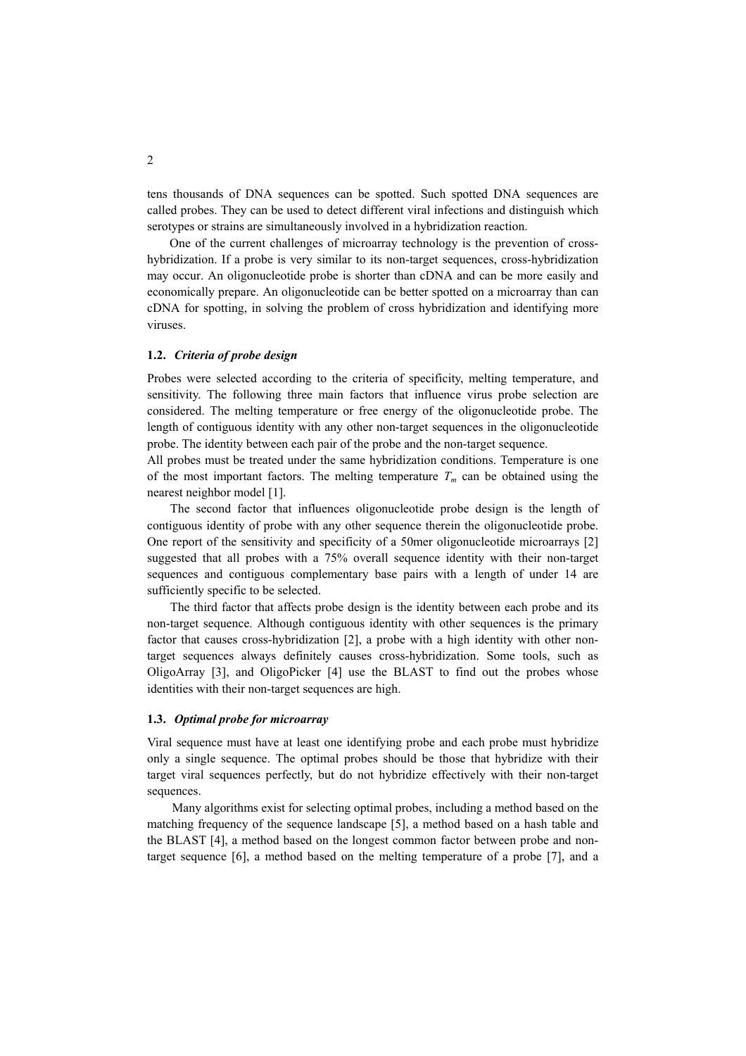tens thousands of DNA sequences can be spotted. Such spotted DNA sequences are called probes. They can be used to detect different viral infections and distinguish which serotypes or strains are simultaneously involved in a hybridization reaction.

One of the current challenges of microarray technology is the prevention of crosshybridization. If a probe is very similar to its non-target sequences, cross-hybridization may occur. An oligonucleotide probe is shorter than cDNA and can be more easily and economically prepare. An oligonucleotide can be better spotted on a microarray than can cDNA for spotting, in solving the problem of cross hybridization and identifying more viruses.

# **1.2.** *Criteria of probe design*

Probes were selected according to the criteria of specificity, melting temperature, and sensitivity. The following three main factors that influence virus probe selection are considered. The melting temperature or free energy of the oligonucleotide probe. The length of contiguous identity with any other non-target sequences in the oligonucleotide probe. The identity between each pair of the probe and the non-target sequence.

All probes must be treated under the same hybridization conditions. Temperature is one of the most important factors. The melting temperature  $T_m$  can be obtained using the nearest neighbor model [1].

The second factor that influences oligonucleotide probe design is the length of contiguous identity of probe with any other sequence therein the oligonucleotide probe. One report of the sensitivity and specificity of a 50mer oligonucleotide microarrays [2] suggested that all probes with a 75% overall sequence identity with their non-target sequences and contiguous complementary base pairs with a length of under 14 are sufficiently specific to be selected.

The third factor that affects probe design is the identity between each probe and its non-target sequence. Although contiguous identity with other sequences is the primary factor that causes cross-hybridization [2], a probe with a high identity with other nontarget sequences always definitely causes cross-hybridization. Some tools, such as OligoArray [3], and OligoPicker [4] use the BLAST to find out the probes whose identities with their non-target sequences are high.

# **1.3.** *Optimal probe for microarray*

Viral sequence must have at least one identifying probe and each probe must hybridize only a single sequence. The optimal probes should be those that hybridize with their target viral sequences perfectly, but do not hybridize effectively with their non-target sequences.

Many algorithms exist for selecting optimal probes, including a method based on the matching frequency of the sequence landscape [5], a method based on a hash table and the BLAST [4], a method based on the longest common factor between probe and nontarget sequence [6], a method based on the melting temperature of a probe [7], and a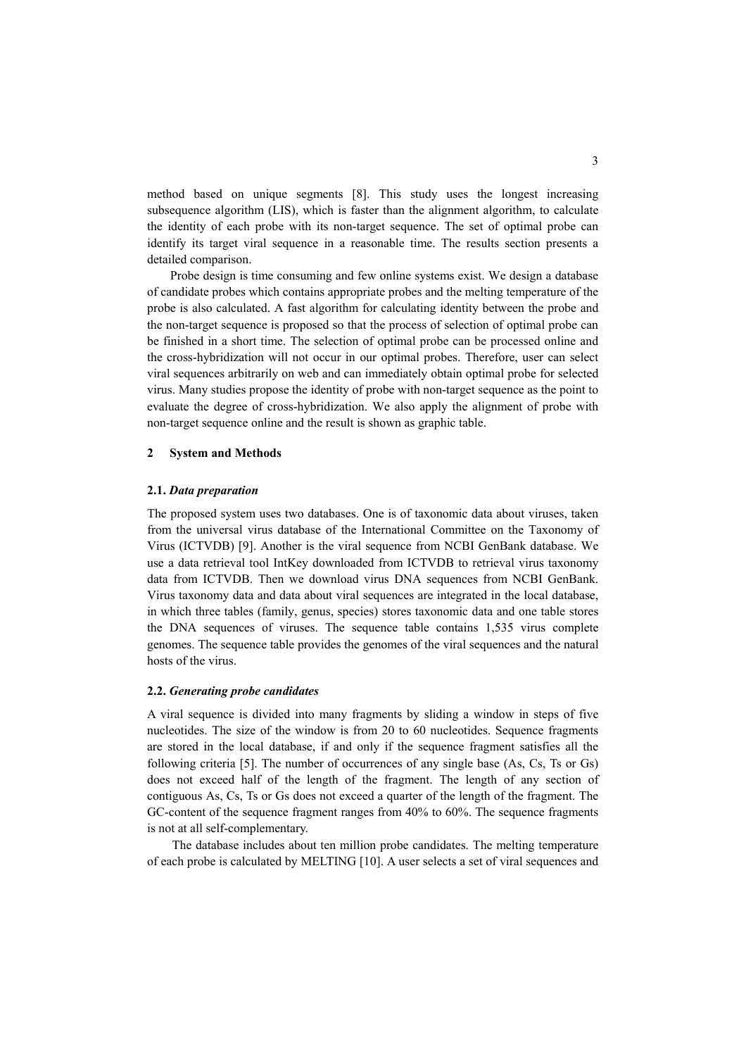method based on unique segments [8]. This study uses the longest increasing subsequence algorithm (LIS), which is faster than the alignment algorithm, to calculate the identity of each probe with its non-target sequence. The set of optimal probe can identify its target viral sequence in a reasonable time. The results section presents a detailed comparison.

Probe design is time consuming and few online systems exist. We design a database of candidate probes which contains appropriate probes and the melting temperature of the probe is also calculated. A fast algorithm for calculating identity between the probe and the non-target sequence is proposed so that the process of selection of optimal probe can be finished in a short time. The selection of optimal probe can be processed online and the cross-hybridization will not occur in our optimal probes. Therefore, user can select viral sequences arbitrarily on web and can immediately obtain optimal probe for selected virus. Many studies propose the identity of probe with non-target sequence as the point to evaluate the degree of cross-hybridization. We also apply the alignment of probe with non-target sequence online and the result is shown as graphic table.

#### **2 System and Methods**

### **2.1.** *Data preparation*

The proposed system uses two databases. One is of taxonomic data about viruses, taken from the universal virus database of the International Committee on the Taxonomy of Virus (ICTVDB) [9]. Another is the viral sequence from NCBI GenBank database. We use a data retrieval tool IntKey downloaded from ICTVDB to retrieval virus taxonomy data from ICTVDB. Then we download virus DNA sequences from NCBI GenBank. Virus taxonomy data and data about viral sequences are integrated in the local database, in which three tables (family, genus, species) stores taxonomic data and one table stores the DNA sequences of viruses. The sequence table contains 1,535 virus complete genomes. The sequence table provides the genomes of the viral sequences and the natural hosts of the virus.

# **2.2.** *Generating probe candidates*

A viral sequence is divided into many fragments by sliding a window in steps of five nucleotides. The size of the window is from 20 to 60 nucleotides. Sequence fragments are stored in the local database, if and only if the sequence fragment satisfies all the following criteria [5]. The number of occurrences of any single base (As, Cs, Ts or Gs) does not exceed half of the length of the fragment. The length of any section of contiguous As, Cs, Ts or Gs does not exceed a quarter of the length of the fragment. The GC-content of the sequence fragment ranges from 40% to 60%. The sequence fragments is not at all self-complementary.

The database includes about ten million probe candidates. The melting temperature of each probe is calculated by MELTING [10]. A user selects a set of viral sequences and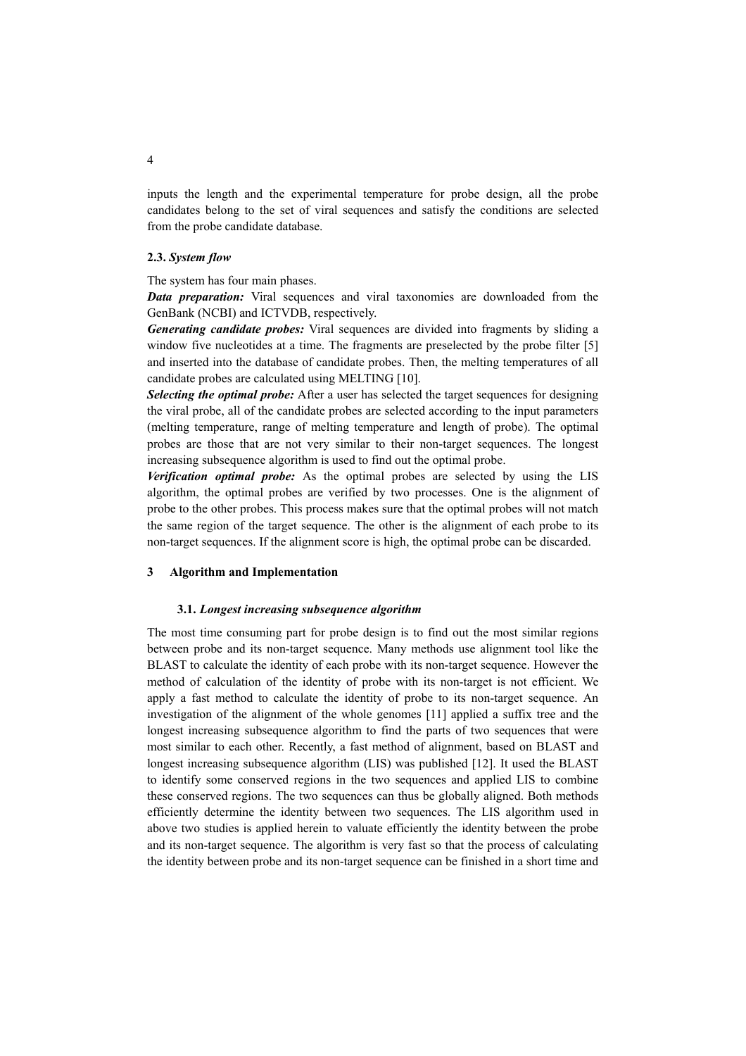inputs the length and the experimental temperature for probe design, all the probe candidates belong to the set of viral sequences and satisfy the conditions are selected from the probe candidate database.

#### **2.3.** *System flow*

The system has four main phases.

*Data preparation:* Viral sequences and viral taxonomies are downloaded from the GenBank (NCBI) and ICTVDB, respectively.

*Generating candidate probes:* Viral sequences are divided into fragments by sliding a window five nucleotides at a time. The fragments are preselected by the probe filter [5] and inserted into the database of candidate probes. Then, the melting temperatures of all candidate probes are calculated using MELTING [10].

*Selecting the optimal probe:* After a user has selected the target sequences for designing the viral probe, all of the candidate probes are selected according to the input parameters (melting temperature, range of melting temperature and length of probe). The optimal probes are those that are not very similar to their non-target sequences. The longest increasing subsequence algorithm is used to find out the optimal probe.

*Verification optimal probe:* As the optimal probes are selected by using the LIS algorithm, the optimal probes are verified by two processes. One is the alignment of probe to the other probes. This process makes sure that the optimal probes will not match the same region of the target sequence. The other is the alignment of each probe to its non-target sequences. If the alignment score is high, the optimal probe can be discarded.

# **3 Algorithm and Implementation**

# **3.1.** *Longest increasing subsequence algorithm*

The most time consuming part for probe design is to find out the most similar regions between probe and its non-target sequence. Many methods use alignment tool like the BLAST to calculate the identity of each probe with its non-target sequence. However the method of calculation of the identity of probe with its non-target is not efficient. We apply a fast method to calculate the identity of probe to its non-target sequence. An investigation of the alignment of the whole genomes [11] applied a suffix tree and the longest increasing subsequence algorithm to find the parts of two sequences that were most similar to each other. Recently, a fast method of alignment, based on BLAST and longest increasing subsequence algorithm (LIS) was published [12]. It used the BLAST to identify some conserved regions in the two sequences and applied LIS to combine these conserved regions. The two sequences can thus be globally aligned. Both methods efficiently determine the identity between two sequences. The LIS algorithm used in above two studies is applied herein to valuate efficiently the identity between the probe and its non-target sequence. The algorithm is very fast so that the process of calculating the identity between probe and its non-target sequence can be finished in a short time and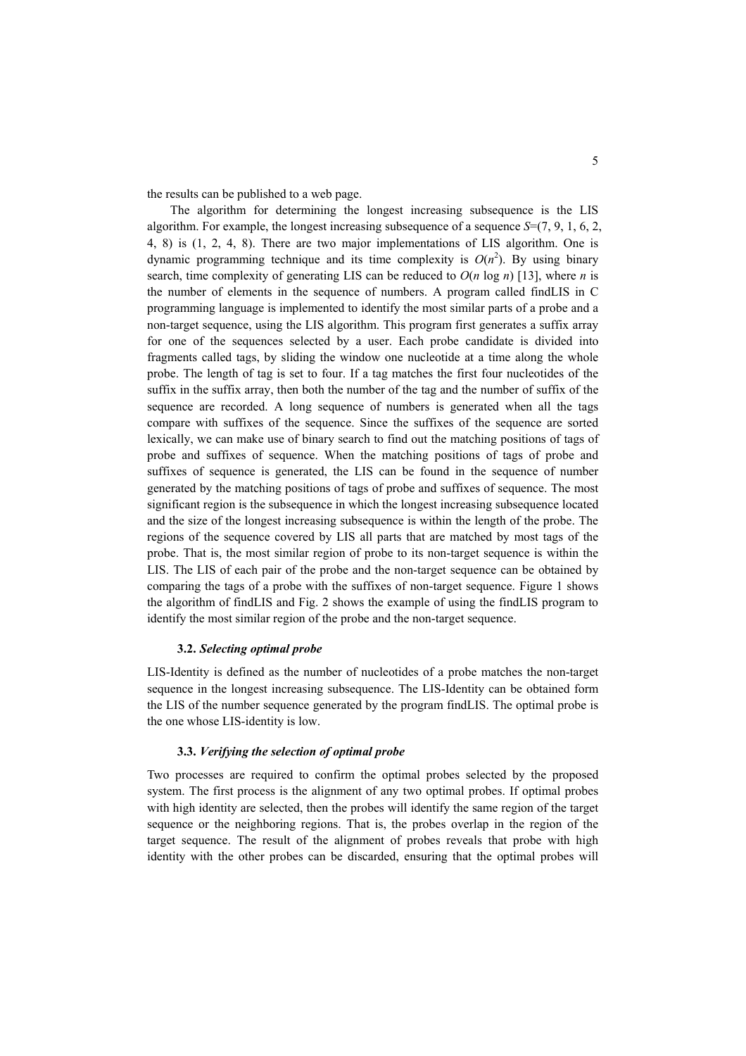the results can be published to a web page.

The algorithm for determining the longest increasing subsequence is the LIS algorithm. For example, the longest increasing subsequence of a sequence *S*=(7, 9, 1, 6, 2, 4, 8) is (1, 2, 4, 8). There are two major implementations of LIS algorithm. One is dynamic programming technique and its time complexity is  $O(n^2)$ . By using binary search, time complexity of generating LIS can be reduced to  $O(n \log n)$  [13], where *n* is the number of elements in the sequence of numbers. A program called findLIS in C programming language is implemented to identify the most similar parts of a probe and a non-target sequence, using the LIS algorithm. This program first generates a suffix array for one of the sequences selected by a user. Each probe candidate is divided into fragments called tags, by sliding the window one nucleotide at a time along the whole probe. The length of tag is set to four. If a tag matches the first four nucleotides of the suffix in the suffix array, then both the number of the tag and the number of suffix of the sequence are recorded. A long sequence of numbers is generated when all the tags compare with suffixes of the sequence. Since the suffixes of the sequence are sorted lexically, we can make use of binary search to find out the matching positions of tags of probe and suffixes of sequence. When the matching positions of tags of probe and suffixes of sequence is generated, the LIS can be found in the sequence of number generated by the matching positions of tags of probe and suffixes of sequence. The most significant region is the subsequence in which the longest increasing subsequence located and the size of the longest increasing subsequence is within the length of the probe. The regions of the sequence covered by LIS all parts that are matched by most tags of the probe. That is, the most similar region of probe to its non-target sequence is within the LIS. The LIS of each pair of the probe and the non-target sequence can be obtained by comparing the tags of a probe with the suffixes of non-target sequence. Figure 1 shows the algorithm of findLIS and [Fig. 2](#page-6-0) shows the example of using the findLIS program to identify the most similar region of the probe and the non-target sequence.

### **3.2.** *Selecting optimal probe*

LIS-Identity is defined as the number of nucleotides of a probe matches the non-target sequence in the longest increasing subsequence. The LIS-Identity can be obtained form the LIS of the number sequence generated by the program findLIS. The optimal probe is the one whose LIS-identity is low.

# **3.3.** *Verifying the selection of optimal probe*

Two processes are required to confirm the optimal probes selected by the proposed system. The first process is the alignment of any two optimal probes. If optimal probes with high identity are selected, then the probes will identify the same region of the target sequence or the neighboring regions. That is, the probes overlap in the region of the target sequence. The result of the alignment of probes reveals that probe with high identity with the other probes can be discarded, ensuring that the optimal probes will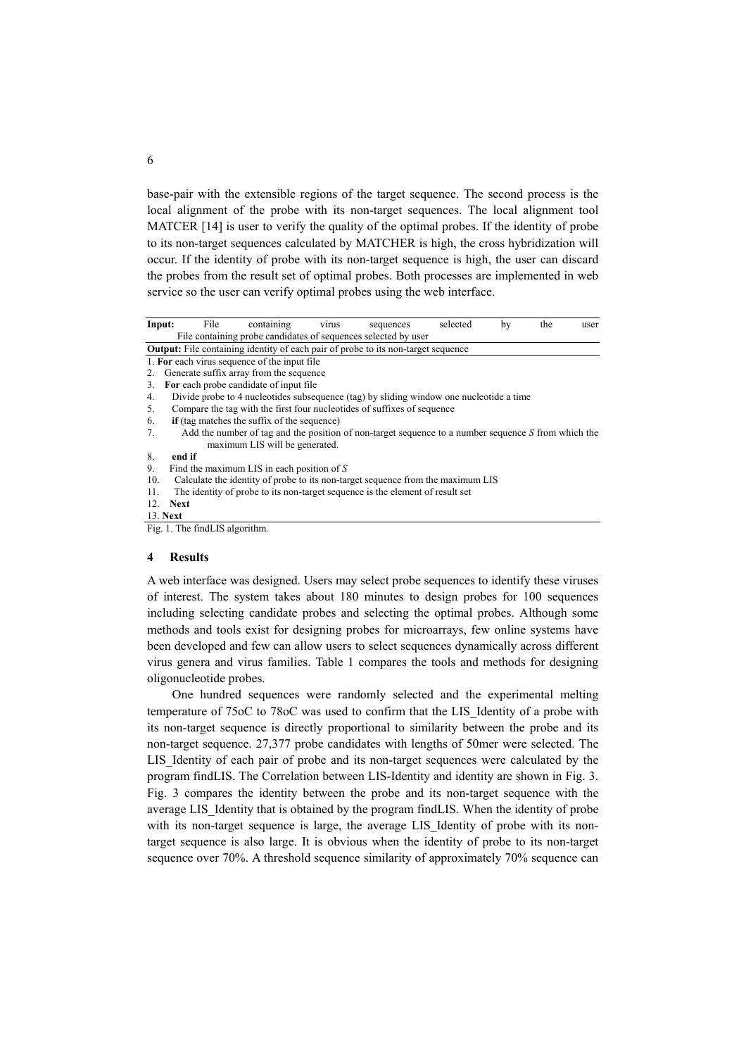base-pair with the extensible regions of the target sequence. The second process is the local alignment of the probe with its non-target sequences. The local alignment tool MATCER [14] is user to verify the quality of the optimal probes. If the identity of probe to its non-target sequences calculated by MATCHER is high, the cross hybridization will occur. If the identity of probe with its non-target sequence is high, the user can discard the probes from the result set of optimal probes. Both processes are implemented in web service so the user can verify optimal probes using the web interface.

| Input:          |                                                                                                     | File                                                       | containing | virus | sequences                                                                     | selected | by | the | user |
|-----------------|-----------------------------------------------------------------------------------------------------|------------------------------------------------------------|------------|-------|-------------------------------------------------------------------------------|----------|----|-----|------|
|                 | File containing probe candidates of sequences selected by user                                      |                                                            |            |       |                                                                               |          |    |     |      |
|                 | <b>Output:</b> File containing identity of each pair of probe to its non-target sequence            |                                                            |            |       |                                                                               |          |    |     |      |
|                 | 1. For each virus sequence of the input file                                                        |                                                            |            |       |                                                                               |          |    |     |      |
| 2.              | Generate suffix array from the sequence                                                             |                                                            |            |       |                                                                               |          |    |     |      |
| 3.              | For each probe candidate of input file                                                              |                                                            |            |       |                                                                               |          |    |     |      |
| 4.              | Divide probe to 4 nucleotides subsequence (tag) by sliding window one nucleotide a time             |                                                            |            |       |                                                                               |          |    |     |      |
| 5.              | Compare the tag with the first four nucleotides of suffixes of sequence                             |                                                            |            |       |                                                                               |          |    |     |      |
| 6.              | <b>if</b> (tag matches the suffix of the sequence)                                                  |                                                            |            |       |                                                                               |          |    |     |      |
| 7.              | Add the number of tag and the position of non-target sequence to a number sequence S from which the |                                                            |            |       |                                                                               |          |    |     |      |
|                 | maximum LIS will be generated.                                                                      |                                                            |            |       |                                                                               |          |    |     |      |
| 8.              | end if                                                                                              |                                                            |            |       |                                                                               |          |    |     |      |
| 9.              | Find the maximum LIS in each position of $S$                                                        |                                                            |            |       |                                                                               |          |    |     |      |
| 10.             | Calculate the identity of probe to its non-target sequence from the maximum LIS                     |                                                            |            |       |                                                                               |          |    |     |      |
| 11.             |                                                                                                     |                                                            |            |       | The identity of probe to its non-target sequence is the element of result set |          |    |     |      |
| 12 <sub>1</sub> | Next                                                                                                |                                                            |            |       |                                                                               |          |    |     |      |
|                 | 13. Next                                                                                            |                                                            |            |       |                                                                               |          |    |     |      |
|                 |                                                                                                     | $\Gamma_{\rm tot}$ 1. The find $\Gamma$ $\Gamma$ algorithm |            |       |                                                                               |          |    |     |      |

Fig. 1. The findLIS algorithm.

#### **4 Results**

A web interface was designed. Users may select probe sequences to identify these viruses of interest. The system takes about 180 minutes to design probes for 100 sequences including selecting candidate probes and selecting the optimal probes. Although some methods and tools exist for designing probes for microarrays, few online systems have been developed and few can allow users to select sequences dynamically across different virus genera and virus families. Table 1 compares the tools and methods for designing oligonucleotide probes.

One hundred sequences were randomly selected and the experimental melting temperature of 75oC to 78oC was used to confirm that the LIS\_Identity of a probe with its non-target sequence is directly proportional to similarity between the probe and its non-target sequence. 27,377 probe candidates with lengths of 50mer were selected. The LIS Identity of each pair of probe and its non-target sequences were calculated by the program findLIS. The Correlation between LIS-Identity and identity are shown in Fig. 3. Fig. 3 compares the identity between the probe and its non-target sequence with the average LIS\_Identity that is obtained by the program findLIS. When the identity of probe with its non-target sequence is large, the average LIS Identity of probe with its nontarget sequence is also large. It is obvious when the identity of probe to its non-target sequence over 70%. A threshold sequence similarity of approximately 70% sequence can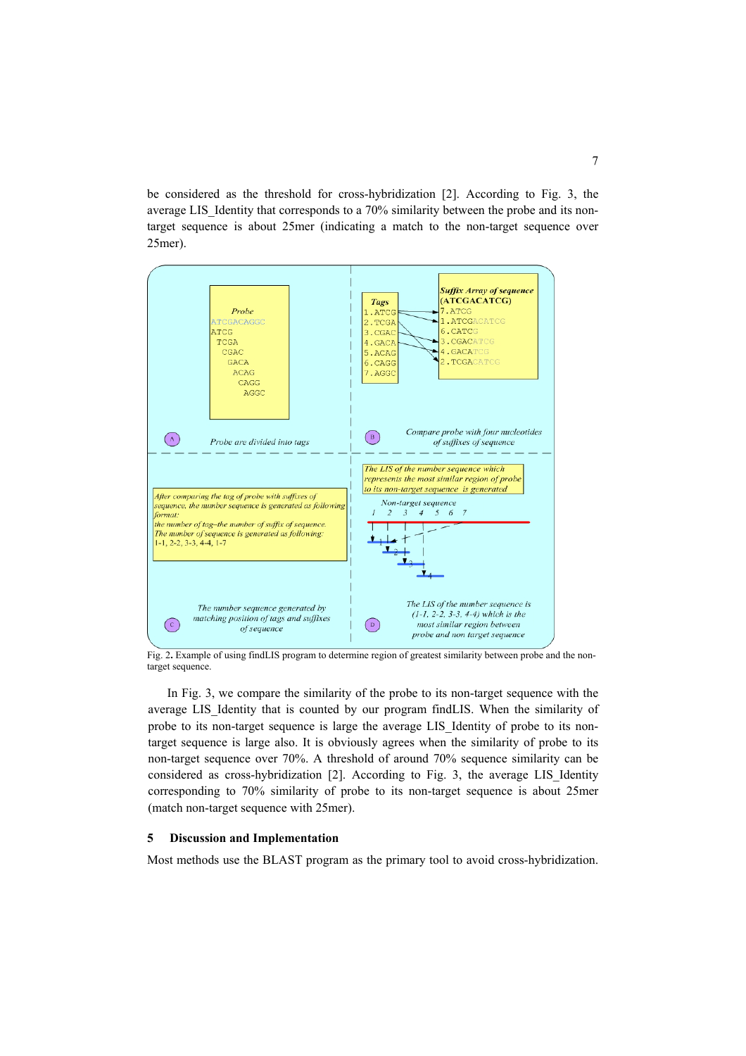be considered as the threshold for cross-hybridization [2]. According to Fig. 3, the average LIS Identity that corresponds to a 70% similarity between the probe and its nontarget sequence is about 25mer (indicating a match to the non-target sequence over 25mer).



<span id="page-6-0"></span>Fig. 2**.** Example of using findLIS program to determine region of greatest similarity between probe and the nontarget sequence.

In [Fig. 3,](#page-8-0) we compare the similarity of the probe to its non-target sequence with the average LIS\_Identity that is counted by our program findLIS. When the similarity of probe to its non-target sequence is large the average LIS\_Identity of probe to its nontarget sequence is large also. It is obviously agrees when the similarity of probe to its non-target sequence over 70%. A threshold of around 70% sequence similarity can be considered as cross-hybridization [2]. According to [Fig. 3,](#page-8-0) the average LIS\_Identity corresponding to 70% similarity of probe to its non-target sequence is about 25mer (match non-target sequence with 25mer).

## **5 Discussion and Implementation**

Most methods use the BLAST program as the primary tool to avoid cross-hybridization.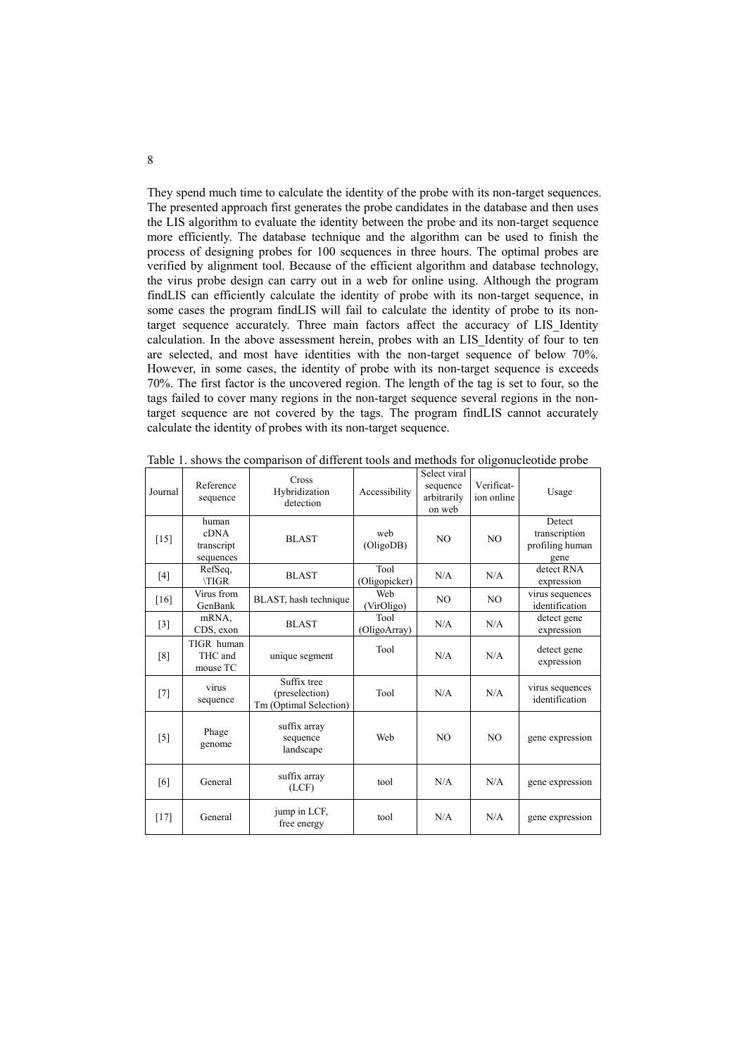They spend much time to calculate the identity of the probe with its non-target sequences. The presented approach first generates the probe candidates in the database and then uses the LIS algorithm to evaluate the identity between the probe and its non-target sequence more efficiently. The database technique and the algorithm can be used to finish the process of designing probes for 100 sequences in three hours. The optimal probes are verified by alignment tool. Because of the efficient algorithm and database technology, the virus probe design can carry out in a web for online using. Although the program findLIS can efficiently calculate the identity of probe with its non-target sequence, in some cases the program findLIS will fail to calculate the identity of probe to its nontarget sequence accurately. Three main factors affect the accuracy of LIS Identity calculation. In the above assessment herein, probes with an LIS\_Identity of four to ten are selected, and most have identities with the non-target sequence of below 70%. However, in some cases, the identity of probe with its non-target sequence is exceeds 70%. The first factor is the uncovered region. The length of the tag is set to four, so the tags failed to cover many regions in the non-target sequence several regions in the nontarget sequence are not covered by the tags. The program findLIS cannot accurately calculate the identity of probes with its non-target sequence.

| Journal | Reference<br>sequence                    | Cross<br>Hybridization<br>detection                     | Accessibility         | Select viral<br>sequence<br>arbitrarily<br>on web | Verificat-<br>ion online | Usage                                              |
|---------|------------------------------------------|---------------------------------------------------------|-----------------------|---------------------------------------------------|--------------------------|----------------------------------------------------|
| [15]    | human<br>cDNA<br>transcript<br>sequences | <b>BLAST</b>                                            | web<br>(OligoDB)      | N <sub>O</sub>                                    | N <sub>O</sub>           | Detect<br>transcription<br>profiling human<br>gene |
| $[4]$   | RefSeq,<br><b>TIGR</b>                   | <b>BLAST</b>                                            | Tool<br>(Oligopicker) | N/A                                               | N/A                      | detect RNA<br>expression                           |
| [16]    | Virus from<br>GenBank                    | BLAST, hash technique                                   | Web<br>(VirOligo)     | N <sub>O</sub>                                    | N <sub>O</sub>           | virus sequences<br>identification                  |
| $[3]$   | mRNA,<br>CDS, exon                       | <b>BLAST</b>                                            | Tool<br>(OligoArray)  | N/A                                               | N/A                      | detect gene<br>expression                          |
| [8]     | TIGR human<br>THC and<br>mouse TC        | unique segment                                          | Tool                  | N/A                                               | N/A                      | detect gene<br>expression                          |
| $[7]$   | virus<br>sequence                        | Suffix tree<br>(preselection)<br>Tm (Optimal Selection) | Tool                  | N/A                                               | N/A                      | virus sequences<br>identification                  |
| $[5]$   | Phage<br>genome                          | suffix array<br>sequence<br>landscape                   | Web                   | N <sub>O</sub>                                    | NO                       | gene expression                                    |
| [6]     | suffix array<br>General<br>(LCF)         |                                                         | tool                  | N/A                                               | N/A                      | gene expression                                    |
| $[17]$  | jump in LCF,<br>General<br>free energy   |                                                         | tool                  | N/A                                               | N/A                      | gene expression                                    |

Table 1. shows the comparison of different tools and methods for oligonucleotide probe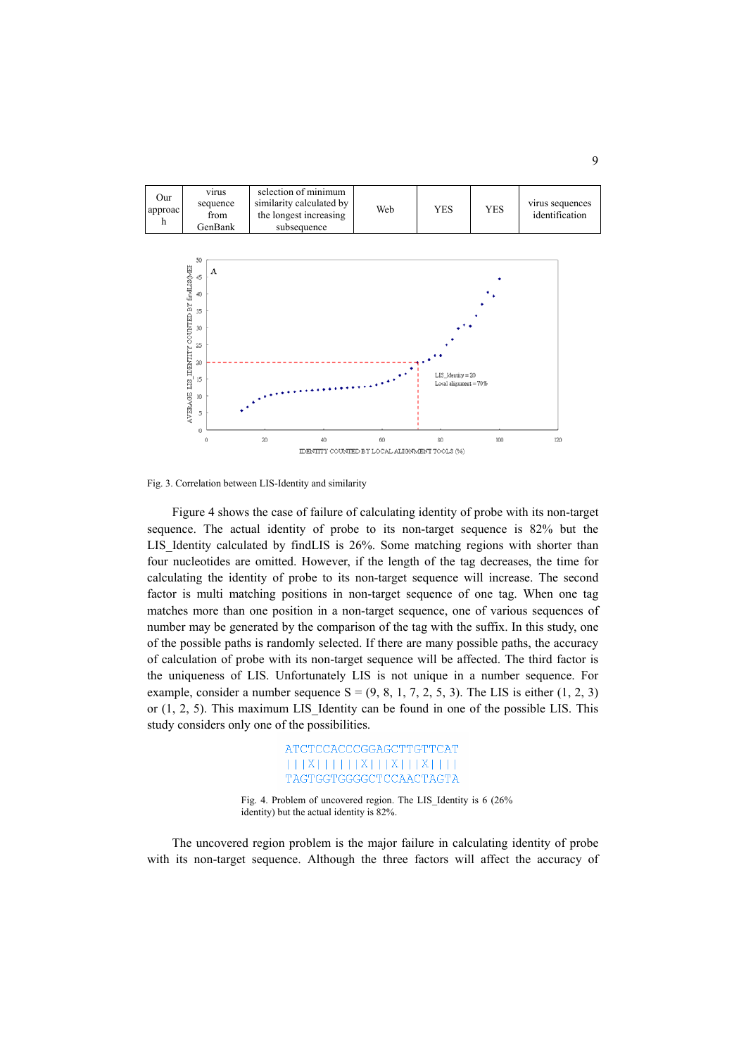| Jur<br>approac | virus<br>sequence<br>from<br>GenBank | selection of minimum<br>similarity calculated by<br>the longest increasing<br>subsequence | Web | YES | YES | virus sequences<br>identification |
|----------------|--------------------------------------|-------------------------------------------------------------------------------------------|-----|-----|-----|-----------------------------------|
|----------------|--------------------------------------|-------------------------------------------------------------------------------------------|-----|-----|-----|-----------------------------------|



<span id="page-8-0"></span>Fig. 3. Correlation between LIS-Identity and similarity

Figure 4 shows the case of failure of calculating identity of probe with its non-target sequence. The actual identity of probe to its non-target sequence is 82% but the LIS Identity calculated by findLIS is 26%. Some matching regions with shorter than four nucleotides are omitted. However, if the length of the tag decreases, the time for calculating the identity of probe to its non-target sequence will increase. The second factor is multi matching positions in non-target sequence of one tag. When one tag matches more than one position in a non-target sequence, one of various sequences of number may be generated by the comparison of the tag with the suffix. In this study, one of the possible paths is randomly selected. If there are many possible paths, the accuracy of calculation of probe with its non-target sequence will be affected. The third factor is the uniqueness of LIS. Unfortunately LIS is not unique in a number sequence. For example, consider a number sequence  $S = (9, 8, 1, 7, 2, 5, 3)$ . The LIS is either  $(1, 2, 3)$ or (1, 2, 5). This maximum LIS\_Identity can be found in one of the possible LIS. This study considers only one of the possibilities.

> ATCTCCACCCGGAGCTTGTTCAT  $|1|X|11111X111X111X1111$ TAGTGGTGGGCTCCAACTAGTA

Fig. 4. Problem of uncovered region. The LIS\_Identity is 6 (26% identity) but the actual identity is 82%.

The uncovered region problem is the major failure in calculating identity of probe with its non-target sequence. Although the three factors will affect the accuracy of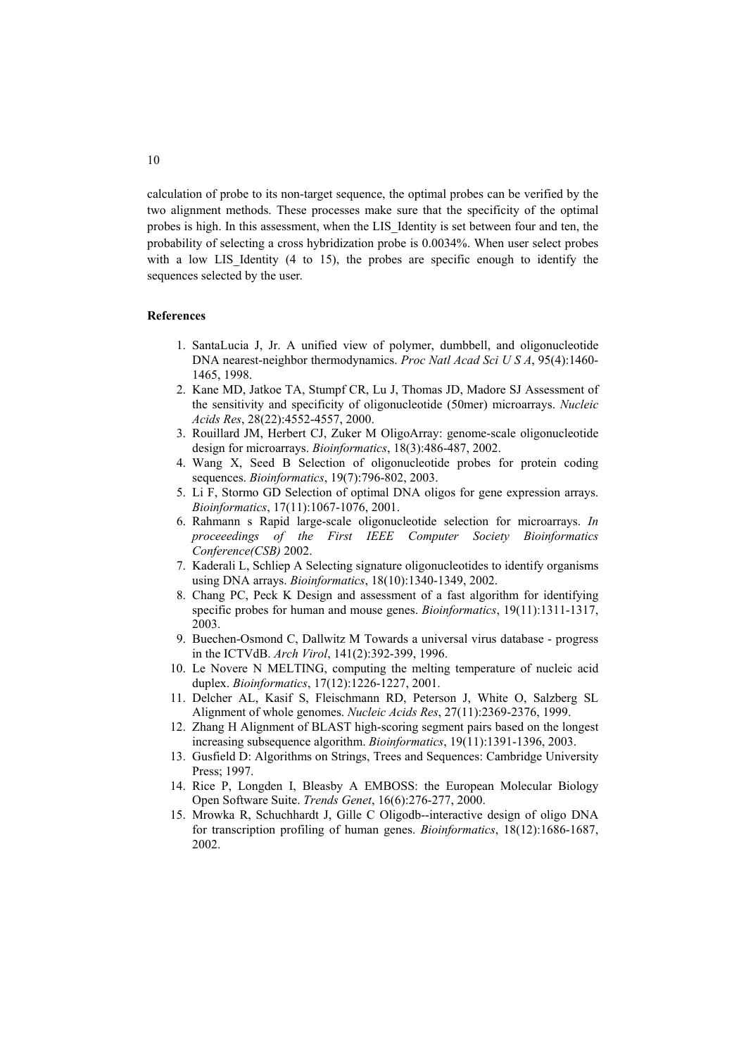calculation of probe to its non-target sequence, the optimal probes can be verified by the two alignment methods. These processes make sure that the specificity of the optimal probes is high. In this assessment, when the LIS\_Identity is set between four and ten, the probability of selecting a cross hybridization probe is 0.0034%. When user select probes with a low LIS Identity  $(4 \text{ to } 15)$ , the probes are specific enough to identify the sequences selected by the user.

#### **References**

- 1. SantaLucia J, Jr. A unified view of polymer, dumbbell, and oligonucleotide DNA nearest-neighbor thermodynamics. *Proc Natl Acad Sci U S A*, 95(4):1460- 1465, 1998.
- 2. Kane MD, Jatkoe TA, Stumpf CR, Lu J, Thomas JD, Madore SJ Assessment of the sensitivity and specificity of oligonucleotide (50mer) microarrays. *Nucleic Acids Res*, 28(22):4552-4557, 2000.
- 3. Rouillard JM, Herbert CJ, Zuker M OligoArray: genome-scale oligonucleotide design for microarrays. *Bioinformatics*, 18(3):486-487, 2002.
- 4. Wang X, Seed B Selection of oligonucleotide probes for protein coding sequences. *Bioinformatics*, 19(7):796-802, 2003.
- 5. Li F, Stormo GD Selection of optimal DNA oligos for gene expression arrays. *Bioinformatics*, 17(11):1067-1076, 2001.
- 6. Rahmann s Rapid large-scale oligonucleotide selection for microarrays. *In proceeedings of the First IEEE Computer Society Bioinformatics Conference(CSB)* 2002.
- 7. Kaderali L, Schliep A Selecting signature oligonucleotides to identify organisms using DNA arrays. *Bioinformatics*, 18(10):1340-1349, 2002.
- 8. Chang PC, Peck K Design and assessment of a fast algorithm for identifying specific probes for human and mouse genes. *Bioinformatics*, 19(11):1311-1317, 2003.
- 9. Buechen-Osmond C, Dallwitz M Towards a universal virus database progress in the ICTVdB. *Arch Virol*, 141(2):392-399, 1996.
- 10. Le Novere N MELTING, computing the melting temperature of nucleic acid duplex. *Bioinformatics*, 17(12):1226-1227, 2001.
- 11. Delcher AL, Kasif S, Fleischmann RD, Peterson J, White O, Salzberg SL Alignment of whole genomes. *Nucleic Acids Res*, 27(11):2369-2376, 1999.
- 12. Zhang H Alignment of BLAST high-scoring segment pairs based on the longest increasing subsequence algorithm. *Bioinformatics*, 19(11):1391-1396, 2003.
- 13. Gusfield D: Algorithms on Strings, Trees and Sequences: Cambridge University Press; 1997.
- 14. Rice P, Longden I, Bleasby A EMBOSS: the European Molecular Biology Open Software Suite. *Trends Genet*, 16(6):276-277, 2000.
- 15. Mrowka R, Schuchhardt J, Gille C Oligodb--interactive design of oligo DNA for transcription profiling of human genes. *Bioinformatics*, 18(12):1686-1687, 2002.